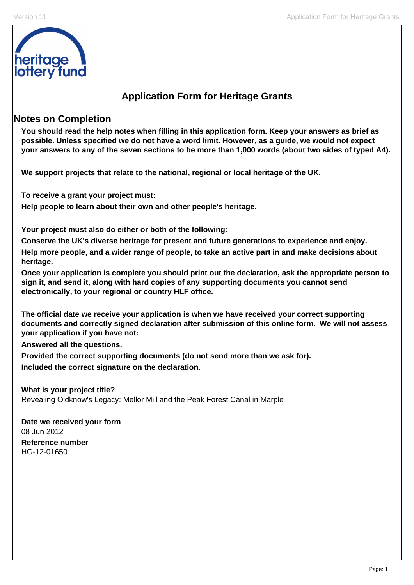

# **Application Form for Heritage Grants**

# **Notes on Completion**

**You should read the help notes when filling in this application form. Keep your answers as brief as possible. Unless specified we do not have a word limit. However, as a guide, we would not expect your answers to any of the seven sections to be more than 1,000 words (about two sides of typed A4).** 

**We support projects that relate to the national, regional or local heritage of the UK.** 

**To receive a grant your project must:** 

**Help people to learn about their own and other people's heritage.** 

**Your project must also do either or both of the following:** 

**Conserve the UK's diverse heritage for present and future generations to experience and enjoy.** 

**Help more people, and a wider range of people, to take an active part in and make decisions about heritage.** 

**Once your application is complete you should print out the declaration, ask the appropriate person to sign it, and send it, along with hard copies of any supporting documents you cannot send electronically, to your regional or country HLF office.** 

**The official date we receive your application is when we have received your correct supporting documents and correctly signed declaration after submission of this online form. We will not assess your application if you have not:** 

**Answered all the questions.** 

**Provided the correct supporting documents (do not send more than we ask for). Included the correct signature on the declaration.** 

**What is your project title?**  Revealing Oldknow's Legacy: Mellor Mill and the Peak Forest Canal in Marple

**Date we received your form**  08 Jun 2012 **Reference number**  HG-12-01650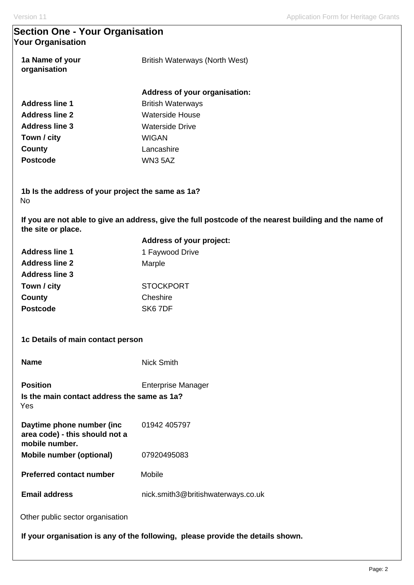## **Section One - Your Organisation Your Organisation**

| 1a Name of your<br>organisation | British Waterways (North West) |  |
|---------------------------------|--------------------------------|--|
|                                 | Address of your organisation:  |  |
| <b>Address line 1</b>           | <b>British Waterways</b>       |  |
| <b>Address line 2</b>           | Waterside House                |  |
| <b>Address line 3</b>           | Waterside Drive                |  |
| Town / city                     | WIGAN                          |  |
| County                          | Lancashire                     |  |
| <b>Postcode</b>                 | WN3 5AZ                        |  |

**1b Is the address of your project the same as 1a?**  No

**If you are not able to give an address, give the full postcode of the nearest building and the name of the site or place.** 

|                                                                               | Address of your project:                                                        |
|-------------------------------------------------------------------------------|---------------------------------------------------------------------------------|
| <b>Address line 1</b>                                                         | 1 Faywood Drive                                                                 |
| <b>Address line 2</b>                                                         | Marple                                                                          |
| <b>Address line 3</b>                                                         |                                                                                 |
| Town / city                                                                   | <b>STOCKPORT</b>                                                                |
| County                                                                        | Cheshire                                                                        |
| <b>Postcode</b>                                                               | SK6 7DF                                                                         |
| 1c Details of main contact person                                             |                                                                                 |
| <b>Name</b>                                                                   | <b>Nick Smith</b>                                                               |
| <b>Position</b>                                                               | <b>Enterprise Manager</b>                                                       |
| Is the main contact address the same as 1a?<br>Yes                            |                                                                                 |
| Daytime phone number (inc<br>area code) - this should not a<br>mobile number. | 01942 405797                                                                    |
| <b>Mobile number (optional)</b>                                               | 07920495083                                                                     |
| <b>Preferred contact number</b>                                               | Mobile                                                                          |
| <b>Email address</b>                                                          | nick.smith3@britishwaterways.co.uk                                              |
| Other public sector organisation                                              |                                                                                 |
|                                                                               | If your organisation is any of the following, please provide the details shown. |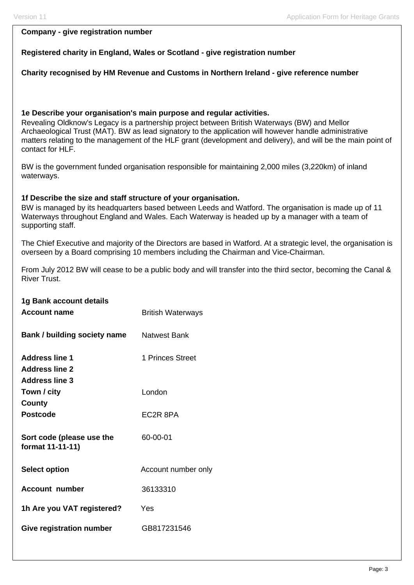### **Company - give registration number**

### **Registered charity in England, Wales or Scotland - give registration number**

### **Charity recognised by HM Revenue and Customs in Northern Ireland - give reference number**

### **1e Describe your organisation's main purpose and regular activities.**

Revealing Oldknow's Legacy is a partnership project between British Waterways (BW) and Mellor Archaeological Trust (MAT). BW as lead signatory to the application will however handle administrative matters relating to the management of the HLF grant (development and delivery), and will be the main point of contact for HLF.

BW is the government funded organisation responsible for maintaining 2,000 miles (3,220km) of inland waterways.

### **1f Describe the size and staff structure of your organisation.**

BW is managed by its headquarters based between Leeds and Watford. The organisation is made up of 11 Waterways throughout England and Wales. Each Waterway is headed up by a manager with a team of supporting staff.

The Chief Executive and majority of the Directors are based in Watford. At a strategic level, the organisation is overseen by a Board comprising 10 members including the Chairman and Vice-Chairman.

From July 2012 BW will cease to be a public body and will transfer into the third sector, becoming the Canal & River Trust.

**British Waterways** 

| 1g Bank account details |  |
|-------------------------|--|
| <b>Account name</b>     |  |
|                         |  |

| Bank / building society name                  | <b>Natwest Bank</b> |
|-----------------------------------------------|---------------------|
| <b>Address line 1</b>                         | 1 Princes Street    |
| <b>Address line 2</b>                         |                     |
| <b>Address line 3</b>                         |                     |
| Town / city                                   | London              |
| County                                        |                     |
| <b>Postcode</b>                               | EC2R 8PA            |
| Sort code (please use the<br>format 11-11-11) | 60-00-01            |
| <b>Select option</b>                          | Account number only |
| Account number                                | 36133310            |
| 1h Are you VAT registered?                    | Yes                 |
| Give registration number                      | GB817231546         |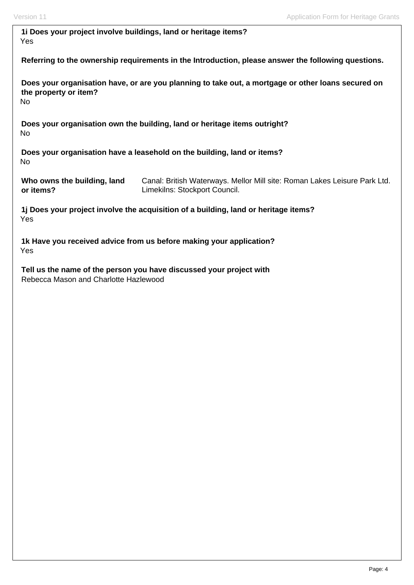| 1i Does your project involve buildings, land or heritage items? |  |
|-----------------------------------------------------------------|--|
| Yes                                                             |  |

**Referring to the ownership requirements in the Introduction, please answer the following questions.** 

**Does your organisation have, or are you planning to take out, a mortgage or other loans secured on the property or item?**  No

**Does your organisation own the building, land or heritage items outright?**  No

**Does your organisation have a leasehold on the building, land or items?**  No

**Who owns the building, land or items?** 

Canal: British Waterways. Mellor Mill site: Roman Lakes Leisure Park Ltd. Limekilns: Stockport Council.

**1j Does your project involve the acquisition of a building, land or heritage items?**  Yes

**1k Have you received advice from us before making your application?**  Yes

**Tell us the name of the person you have discussed your project with**  Rebecca Mason and Charlotte Hazlewood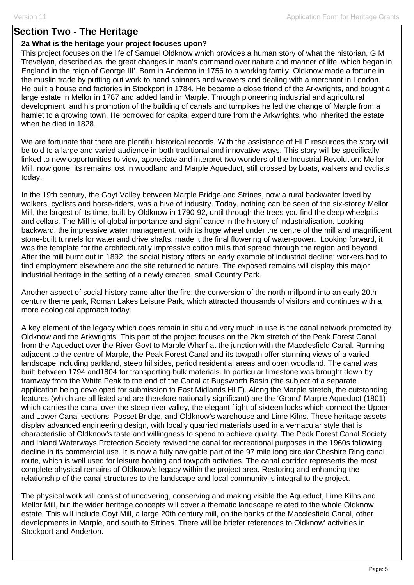## **Section Two - The Heritage**

### **2a What is the heritage your project focuses upon?**

This project focuses on the life of Samuel Oldknow which provides a human story of what the historian, G M Trevelyan, described as 'the great changes in man's command over nature and manner of life, which began in England in the reign of George III'. Born in Anderton in 1756 to a working family, Oldknow made a fortune in the muslin trade by putting out work to hand spinners and weavers and dealing with a merchant in London. He built a house and factories in Stockport in 1784. He became a close friend of the Arkwrights, and bought a large estate in Mellor in 1787 and added land in Marple. Through pioneering industrial and agricultural development, and his promotion of the building of canals and turnpikes he led the change of Marple from a hamlet to a growing town. He borrowed for capital expenditure from the Arkwrights, who inherited the estate when he died in 1828.

We are fortunate that there are plentiful historical records. With the assistance of HLF resources the story will be told to a large and varied audience in both traditional and innovative ways. This story will be specifically linked to new opportunities to view, appreciate and interpret two wonders of the Industrial Revolution: Mellor Mill, now gone, its remains lost in woodland and Marple Aqueduct, still crossed by boats, walkers and cyclists today.

In the 19th century, the Goyt Valley between Marple Bridge and Strines, now a rural backwater loved by walkers, cyclists and horse-riders, was a hive of industry. Today, nothing can be seen of the six-storey Mellor Mill, the largest of its time, built by Oldknow in 1790-92, until through the trees you find the deep wheelpits and cellars. The Mill is of global importance and significance in the history of industrialisation. Looking backward, the impressive water management, with its huge wheel under the centre of the mill and magnificent stone-built tunnels for water and drive shafts, made it the final flowering of water-power. Looking forward, it was the template for the architecturally impressive cotton mills that spread through the region and beyond. After the mill burnt out in 1892, the social history offers an early example of industrial decline; workers had to find employment elsewhere and the site returned to nature. The exposed remains will display this major industrial heritage in the setting of a newly created, small Country Park.

Another aspect of social history came after the fire: the conversion of the north millpond into an early 20th century theme park, Roman Lakes Leisure Park, which attracted thousands of visitors and continues with a more ecological approach today.

A key element of the legacy which does remain in situ and very much in use is the canal network promoted by Oldknow and the Arkwrights. This part of the project focuses on the 2km stretch of the Peak Forest Canal from the Aqueduct over the River Goyt to Marple Wharf at the junction with the Macclesfield Canal. Running adjacent to the centre of Marple, the Peak Forest Canal and its towpath offer stunning views of a varied landscape including parkland, steep hillsides, period residential areas and open woodland. The canal was built between 1794 and1804 for transporting bulk materials. In particular limestone was brought down by tramway from the White Peak to the end of the Canal at Bugsworth Basin (the subject of a separate application being developed for submission to East Midlands HLF). Along the Marple stretch, the outstanding features (which are all listed and are therefore nationally significant) are the 'Grand' Marple Aqueduct (1801) which carries the canal over the steep river valley, the elegant flight of sixteen locks which connect the Upper and Lower Canal sections, Posset Bridge, and Oldknow's warehouse and Lime Kilns. These heritage assets display advanced engineering design, with locally quarried materials used in a vernacular style that is characteristic of Oldknow's taste and willingness to spend to achieve quality. The Peak Forest Canal Society and Inland Waterways Protection Society revived the canal for recreational purposes in the 1960s following decline in its commercial use. It is now a fully navigable part of the 97 mile long circular Cheshire Ring canal route, which is well used for leisure boating and towpath activities. The canal corridor represents the most complete physical remains of Oldknow's legacy within the project area. Restoring and enhancing the relationship of the canal structures to the landscape and local community is integral to the project.

The physical work will consist of uncovering, conserving and making visible the Aqueduct, Lime Kilns and Mellor Mill, but the wider heritage concepts will cover a thematic landscape related to the whole Oldknow estate. This will include Goyt Mill, a large 20th century mill, on the banks of the Macclesfield Canal, other developments in Marple, and south to Strines. There will be briefer references to Oldknow' activities in Stockport and Anderton.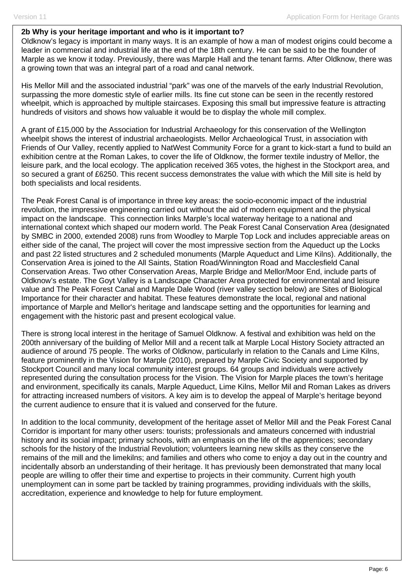#### **2b Why is your heritage important and who is it important to?**

Oldknow's legacy is important in many ways. It is an example of how a man of modest origins could become a leader in commercial and industrial life at the end of the 18th century. He can be said to be the founder of Marple as we know it today. Previously, there was Marple Hall and the tenant farms. After Oldknow, there was a growing town that was an integral part of a road and canal network.

His Mellor Mill and the associated industrial "park" was one of the marvels of the early Industrial Revolution, surpassing the more domestic style of earlier mills. Its fine cut stone can be seen in the recently restored wheelpit, which is approached by multiple staircases. Exposing this small but impressive feature is attracting hundreds of visitors and shows how valuable it would be to display the whole mill complex.

A grant of £15,000 by the Association for Industrial Archaeology for this conservation of the Wellington wheelpit shows the interest of industrial archaeologists. Mellor Archaeological Trust, in association with Friends of Our Valley, recently applied to NatWest Community Force for a grant to kick-start a fund to build an exhibition centre at the Roman Lakes, to cover the life of Oldknow, the former textile industry of Mellor, the leisure park, and the local ecology. The application received 365 votes, the highest in the Stockport area, and so secured a grant of £6250. This recent success demonstrates the value with which the Mill site is held by both specialists and local residents.

The Peak Forest Canal is of importance in three key areas: the socio-economic impact of the industrial revolution, the impressive engineering carried out without the aid of modern equipment and the physical impact on the landscape. This connection links Marple's local waterway heritage to a national and international context which shaped our modern world. The Peak Forest Canal Conservation Area (designated by SMBC in 2000, extended 2008) runs from Woodley to Marple Top Lock and includes appreciable areas on either side of the canal, The project will cover the most impressive section from the Aqueduct up the Locks and past 22 listed structures and 2 scheduled monuments (Marple Aqueduct and Lime Kilns). Additionally, the Conservation Area is joined to the All Saints, Station Road/Winnington Road and Macclesfield Canal Conservation Areas. Two other Conservation Areas, Marple Bridge and Mellor/Moor End, include parts of Oldknow's estate. The Goyt Valley is a Landscape Character Area protected for environmental and leisure value and The Peak Forest Canal and Marple Dale Wood (river valley section below) are Sites of Biological Importance for their character and habitat. These features demonstrate the local, regional and national importance of Marple and Mellor's heritage and landscape setting and the opportunities for learning and engagement with the historic past and present ecological value.

There is strong local interest in the heritage of Samuel Oldknow. A festival and exhibition was held on the 200th anniversary of the building of Mellor Mill and a recent talk at Marple Local History Society attracted an audience of around 75 people. The works of Oldknow, particularly in relation to the Canals and Lime Kilns, feature prominently in the Vision for Marple (2010), prepared by Marple Civic Society and supported by Stockport Council and many local community interest groups. 64 groups and individuals were actively represented during the consultation process for the Vision. The Vision for Marple places the town's heritage and environment, specifically its canals, Marple Aqueduct, Lime Kilns, Mellor Mil and Roman Lakes as drivers for attracting increased numbers of visitors. A key aim is to develop the appeal of Marple's heritage beyond the current audience to ensure that it is valued and conserved for the future.

In addition to the local community, development of the heritage asset of Mellor Mill and the Peak Forest Canal Corridor is important for many other users: tourists; professionals and amateurs concerned with industrial history and its social impact; primary schools, with an emphasis on the life of the apprentices; secondary schools for the history of the Industrial Revolution; volunteers learning new skills as they conserve the remains of the mill and the limekilns; and families and others who come to enjoy a day out in the country and incidentally absorb an understanding of their heritage. It has previously been demonstrated that many local people are willing to offer their time and expertise to projects in their community. Current high youth unemployment can in some part be tackled by training programmes, providing individuals with the skills, accreditation, experience and knowledge to help for future employment.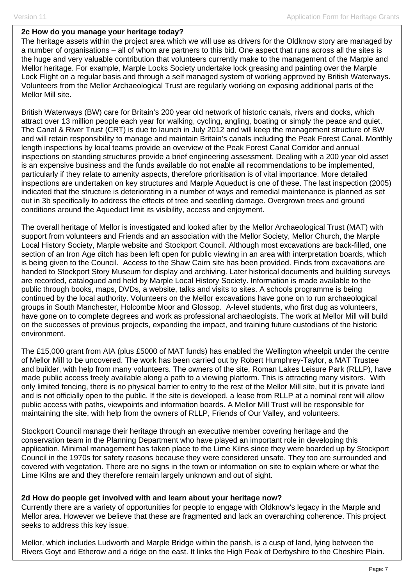#### **2c How do you manage your heritage today?**

The heritage assets within the project area which we will use as drivers for the Oldknow story are managed by a number of organisations – all of whom are partners to this bid. One aspect that runs across all the sites is the huge and very valuable contribution that volunteers currently make to the management of the Marple and Mellor heritage. For example, Marple Locks Society undertake lock greasing and painting over the Marple Lock Flight on a regular basis and through a self managed system of working approved by British Waterways. Volunteers from the Mellor Archaeological Trust are regularly working on exposing additional parts of the Mellor Mill site.

British Waterways (BW) care for Britain's 200 year old network of historic canals, rivers and docks, which attract over 13 million people each year for walking, cycling, angling, boating or simply the peace and quiet. The Canal & River Trust (CRT) is due to launch in July 2012 and will keep the management structure of BW and will retain responsibility to manage and maintain Britain's canals including the Peak Forest Canal. Monthly length inspections by local teams provide an overview of the Peak Forest Canal Corridor and annual inspections on standing structures provide a brief engineering assessment. Dealing with a 200 year old asset is an expensive business and the funds available do not enable all recommendations to be implemented, particularly if they relate to amenity aspects, therefore prioritisation is of vital importance. More detailed inspections are undertaken on key structures and Marple Aqueduct is one of these. The last inspection (2005) indicated that the structure is deteriorating in a number of ways and remedial maintenance is planned as set out in 3b specifically to address the effects of tree and seedling damage. Overgrown trees and ground conditions around the Aqueduct limit its visibility, access and enjoyment.

The overall heritage of Mellor is investigated and looked after by the Mellor Archaeological Trust (MAT) with support from volunteers and Friends and an association with the Mellor Society, Mellor Church, the Marple Local History Society, Marple website and Stockport Council. Although most excavations are back-filled, one section of an Iron Age ditch has been left open for public viewing in an area with interpretation boards, which is being given to the Council. Access to the Shaw Cairn site has been provided. Finds from excavations are handed to Stockport Story Museum for display and archiving. Later historical documents and building surveys are recorded, catalogued and held by Marple Local History Society. Information is made available to the public through books, maps, DVDs, a website, talks and visits to sites. A schools programme is being continued by the local authority. Volunteers on the Mellor excavations have gone on to run archaeological groups in South Manchester, Holcombe Moor and Glossop. A-level students, who first dug as volunteers, have gone on to complete degrees and work as professional archaeologists. The work at Mellor Mill will build on the successes of previous projects, expanding the impact, and training future custodians of the historic environment.

The £15,000 grant from AIA (plus £5000 of MAT funds) has enabled the Wellington wheelpit under the centre of Mellor Mill to be uncovered. The work has been carried out by Robert Humphrey-Taylor, a MAT Trustee and builder, with help from many volunteers. The owners of the site, Roman Lakes Leisure Park (RLLP), have made public access freely available along a path to a viewing platform. This is attracting many visitors. With only limited fencing, there is no physical barrier to entry to the rest of the Mellor Mill site, but it is private land and is not officially open to the public. If the site is developed, a lease from RLLP at a nominal rent will allow public access with paths, viewpoints and information boards. A Mellor Mill Trust will be responsible for maintaining the site, with help from the owners of RLLP, Friends of Our Valley, and volunteers.

Stockport Council manage their heritage through an executive member covering heritage and the conservation team in the Planning Department who have played an important role in developing this application. Minimal management has taken place to the Lime Kilns since they were boarded up by Stockport Council in the 1970s for safety reasons because they were considered unsafe. They too are surrounded and covered with vegetation. There are no signs in the town or information on site to explain where or what the Lime Kilns are and they therefore remain largely unknown and out of sight.

### **2d How do people get involved with and learn about your heritage now?**

Currently there are a variety of opportunities for people to engage with Oldknow's legacy in the Marple and Mellor area. However we believe that these are fragmented and lack an overarching coherence. This project seeks to address this key issue.

Mellor, which includes Ludworth and Marple Bridge within the parish, is a cusp of land, lying between the Rivers Goyt and Etherow and a ridge on the east. It links the High Peak of Derbyshire to the Cheshire Plain.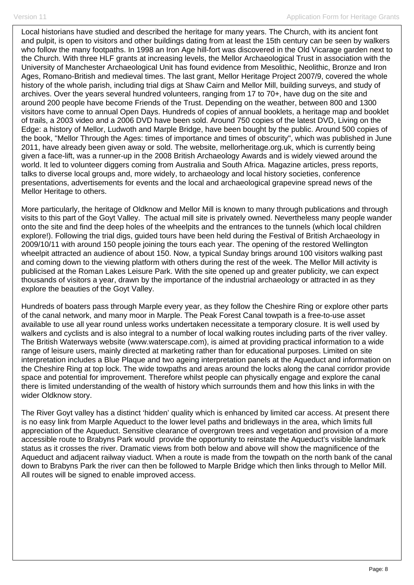Local historians have studied and described the heritage for many years. The Church, with its ancient font and pulpit, is open to visitors and other buildings dating from at least the 15th century can be seen by walkers who follow the many footpaths. In 1998 an Iron Age hill-fort was discovered in the Old Vicarage garden next to the Church. With three HLF grants at increasing levels, the Mellor Archaeological Trust in association with the University of Manchester Archaeological Unit has found evidence from Mesolithic, Neolithic, Bronze and Iron Ages, Romano-British and medieval times. The last grant, Mellor Heritage Project 2007/9, covered the whole history of the whole parish, including trial digs at Shaw Cairn and Mellor Mill, building surveys, and study of archives. Over the years several hundred volunteers, ranging from 17 to 70+, have dug on the site and around 200 people have become Friends of the Trust. Depending on the weather, between 800 and 1300 visitors have come to annual Open Days. Hundreds of copies of annual booklets, a heritage map and booklet of trails, a 2003 video and a 2006 DVD have been sold. Around 750 copies of the latest DVD, Living on the Edge: a history of Mellor, Ludwoth and Marple Bridge, have been bought by the public. Around 500 copies of the book, "Mellor Through the Ages: times of importance and times of obscurity", which was published in June 2011, have already been given away or sold. The website, mellorheritage.org.uk, which is currently being given a face-lift, was a runner-up in the 2008 British Archaeology Awards and is widely viewed around the world. It led to volunteer diggers coming from Australia and South Africa. Magazine articles, press reports, talks to diverse local groups and, more widely, to archaeology and local history societies, conference presentations, advertisements for events and the local and archaeological grapevine spread news of the Mellor Heritage to others.

More particularly, the heritage of Oldknow and Mellor Mill is known to many through publications and through visits to this part of the Goyt Valley. The actual mill site is privately owned. Nevertheless many people wander onto the site and find the deep holes of the wheelpits and the entrances to the tunnels (which local children explore!). Following the trial digs, guided tours have been held during the Festival of British Archaeology in 2009/10/11 with around 150 people joining the tours each year. The opening of the restored Wellington wheelpit attracted an audience of about 150. Now, a typical Sunday brings around 100 visitors walking past and coming down to the viewing platform with others during the rest of the week. The Mellor Mill activity is publicised at the Roman Lakes Leisure Park. With the site opened up and greater publicity, we can expect thousands of visitors a year, drawn by the importance of the industrial archaeology or attracted in as they explore the beauties of the Goyt Valley.

Hundreds of boaters pass through Marple every year, as they follow the Cheshire Ring or explore other parts of the canal network, and many moor in Marple. The Peak Forest Canal towpath is a free-to-use asset available to use all year round unless works undertaken necessitate a temporary closure. It is well used by walkers and cyclists and is also integral to a number of local walking routes including parts of the river valley. The British Waterways website (www.waterscape.com), is aimed at providing practical information to a wide range of leisure users, mainly directed at marketing rather than for educational purposes. Limited on site interpretation includes a Blue Plaque and two ageing interpretation panels at the Aqueduct and information on the Cheshire Ring at top lock. The wide towpaths and areas around the locks along the canal corridor provide space and potential for improvement. Therefore whilst people can physically engage and explore the canal there is limited understanding of the wealth of history which surrounds them and how this links in with the wider Oldknow story.

The River Goyt valley has a distinct 'hidden' quality which is enhanced by limited car access. At present there is no easy link from Marple Aqueduct to the lower level paths and bridleways in the area, which limits full appreciation of the Aqueduct. Sensitive clearance of overgrown trees and vegetation and provision of a more accessible route to Brabyns Park would provide the opportunity to reinstate the Aqueduct's visible landmark status as it crosses the river. Dramatic views from both below and above will show the magnificence of the Aqueduct and adjacent railway viaduct. When a route is made from the towpath on the north bank of the canal down to Brabyns Park the river can then be followed to Marple Bridge which then links through to Mellor Mill. All routes will be signed to enable improved access.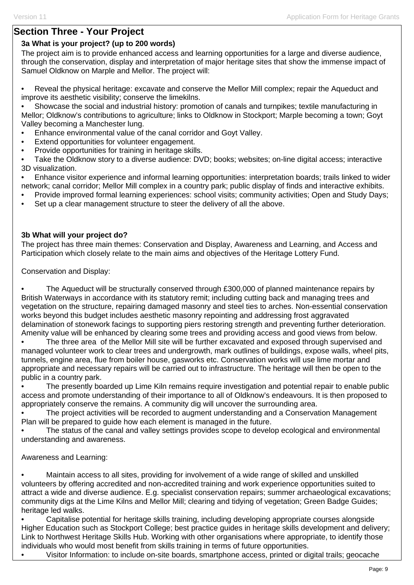# **Section Three - Your Project**

## **3a What is your project? (up to 200 words)**

The project aim is to provide enhanced access and learning opportunities for a large and diverse audience, through the conservation, display and interpretation of major heritage sites that show the immense impact of Samuel Oldknow on Marple and Mellor. The project will:

• Reveal the physical heritage: excavate and conserve the Mellor Mill complex; repair the Aqueduct and improve its aesthetic visibility; conserve the limekilns.

• Showcase the social and industrial history: promotion of canals and turnpikes; textile manufacturing in Mellor; Oldknow's contributions to agriculture; links to Oldknow in Stockport; Marple becoming a town; Goyt Valley becoming a Manchester lung.

- Enhance environmental value of the canal corridor and Goyt Valley.
- Extend opportunities for volunteer engagement.
- Provide opportunities for training in heritage skills.
- Take the Oldknow story to a diverse audience: DVD; books; websites; on-line digital access; interactive 3D visualization.

• Enhance visitor experience and informal learning opportunities: interpretation boards; trails linked to wider network; canal corridor; Mellor Mill complex in a country park; public display of finds and interactive exhibits.

- Provide improved formal learning experiences: school visits; community activities; Open and Study Days;
- Set up a clear management structure to steer the delivery of all the above.

### **3b What will your project do?**

The project has three main themes: Conservation and Display, Awareness and Learning, and Access and Participation which closely relate to the main aims and objectives of the Heritage Lottery Fund.

Conservation and Display:

• The Aqueduct will be structurally conserved through £300,000 of planned maintenance repairs by British Waterways in accordance with its statutory remit; including cutting back and managing trees and vegetation on the structure, repairing damaged masonry and steel ties to arches. Non-essential conservation works beyond this budget includes aesthetic masonry repointing and addressing frost aggravated delamination of stonework facings to supporting piers restoring strength and preventing further deterioration. Amenity value will be enhanced by clearing some trees and providing access and good views from below.

• The three area of the Mellor Mill site will be further excavated and exposed through supervised and managed volunteer work to clear trees and undergrowth, mark outlines of buildings, expose walls, wheel pits, tunnels, engine area, flue from boiler house, gasworks etc. Conservation works will use lime mortar and appropriate and necessary repairs will be carried out to infrastructure. The heritage will then be open to the public in a country park.

• The presently boarded up Lime Kiln remains require investigation and potential repair to enable public access and promote understanding of their importance to all of Oldknow's endeavours. It is then proposed to appropriately conserve the remains. A community dig will uncover the surrounding area.

• The project activities will be recorded to augment understanding and a Conservation Management Plan will be prepared to guide how each element is managed in the future.

• The status of the canal and valley settings provides scope to develop ecological and environmental understanding and awareness.

### Awareness and Learning:

• Maintain access to all sites, providing for involvement of a wide range of skilled and unskilled volunteers by offering accredited and non-accredited training and work experience opportunities suited to attract a wide and diverse audience. E.g. specialist conservation repairs; summer archaeological excavations; community digs at the Lime Kilns and Mellor Mill; clearing and tidying of vegetation; Green Badge Guides; heritage led walks.

• Capitalise potential for heritage skills training, including developing appropriate courses alongside Higher Education such as Stockport College; best practice guides in heritage skills development and delivery; Link to Northwest Heritage Skills Hub. Working with other organisations where appropriate, to identify those individuals who would most benefit from skills training in terms of future opportunities.

• Visitor Information: to include on-site boards, smartphone access, printed or digital trails; geocache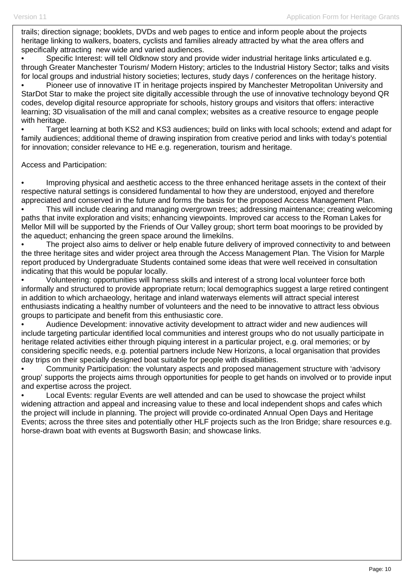trails; direction signage; booklets, DVDs and web pages to entice and inform people about the projects heritage linking to walkers, boaters, cyclists and families already attracted by what the area offers and specifically attracting new wide and varied audiences.

• Specific Interest: will tell Oldknow story and provide wider industrial heritage links articulated e.g. through Greater Manchester Tourism/ Modern History; articles to the Industrial History Sector; talks and visits for local groups and industrial history societies; lectures, study days / conferences on the heritage history.

• Pioneer use of innovative IT in heritage projects inspired by Manchester Metropolitan University and StarDot Star to make the project site digitally accessible through the use of innovative technology beyond QR codes, develop digital resource appropriate for schools, history groups and visitors that offers: interactive learning; 3D visualisation of the mill and canal complex; websites as a creative resource to engage people with heritage.

• Target learning at both KS2 and KS3 audiences; build on links with local schools; extend and adapt for family audiences; additional theme of drawing inspiration from creative period and links with today's potential for innovation; consider relevance to HE e.g. regeneration, tourism and heritage.

Access and Participation:

• Improving physical and aesthetic access to the three enhanced heritage assets in the context of their respective natural settings is considered fundamental to how they are understood, enjoyed and therefore appreciated and conserved in the future and forms the basis for the proposed Access Management Plan.

• This will include clearing and managing overgrown trees; addressing maintenance; creating welcoming paths that invite exploration and visits; enhancing viewpoints. Improved car access to the Roman Lakes for Mellor Mill will be supported by the Friends of Our Valley group; short term boat moorings to be provided by the aqueduct; enhancing the green space around the limekilns.

The project also aims to deliver or help enable future delivery of improved connectivity to and between the three heritage sites and wider project area through the Access Management Plan. The Vision for Marple report produced by Undergraduate Students contained some ideas that were well received in consultation indicating that this would be popular locally.

• Volunteering: opportunities will harness skills and interest of a strong local volunteer force both informally and structured to provide appropriate return; local demographics suggest a large retired contingent in addition to which archaeology, heritage and inland waterways elements will attract special interest enthusiasts indicating a healthy number of volunteers and the need to be innovative to attract less obvious groups to participate and benefit from this enthusiastic core.

• Audience Development: innovative activity development to attract wider and new audiences will include targeting particular identified local communities and interest groups who do not usually participate in heritage related activities either through piquing interest in a particular project, e.g. oral memories; or by considering specific needs, e.g. potential partners include New Horizons, a local organisation that provides day trips on their specially designed boat suitable for people with disabilities.

• Community Participation: the voluntary aspects and proposed management structure with 'advisory group' supports the projects aims through opportunities for people to get hands on involved or to provide input and expertise across the project.

• Local Events: regular Events are well attended and can be used to showcase the project whilst widening attraction and appeal and increasing value to these and local independent shops and cafes which the project will include in planning. The project will provide co-ordinated Annual Open Days and Heritage Events; across the three sites and potentially other HLF projects such as the Iron Bridge; share resources e.g. horse-drawn boat with events at Bugsworth Basin; and showcase links.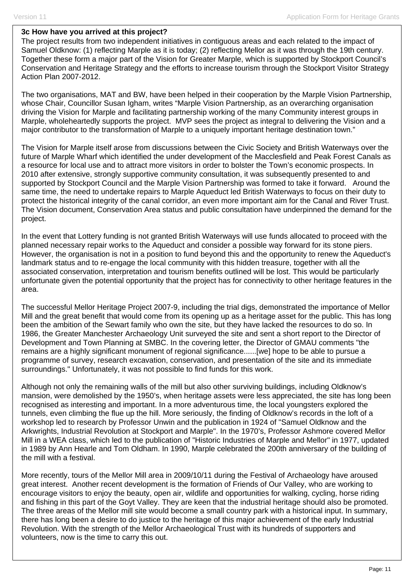#### **3c How have you arrived at this project?**

The project results from two independent initiatives in contiguous areas and each related to the impact of Samuel Oldknow: (1) reflecting Marple as it is today; (2) reflecting Mellor as it was through the 19th century. Together these form a major part of the Vision for Greater Marple, which is supported by Stockport Council's Conservation and Heritage Strategy and the efforts to increase tourism through the Stockport Visitor Strategy Action Plan 2007-2012.

The two organisations, MAT and BW, have been helped in their cooperation by the Marple Vision Partnership, whose Chair, Councillor Susan Igham, writes "Marple Vision Partnership, as an overarching organisation driving the Vision for Marple and facilitating partnership working of the many Community interest groups in Marple, wholeheartedly supports the project. MVP sees the project as integral to delivering the Vision and a major contributor to the transformation of Marple to a uniquely important heritage destination town."

The Vision for Marple itself arose from discussions between the Civic Society and British Waterways over the future of Marple Wharf which identified the under development of the Macclesfield and Peak Forest Canals as a resource for local use and to attract more visitors in order to bolster the Town's economic prospects. In 2010 after extensive, strongly supportive community consultation, it was subsequently presented to and supported by Stockport Council and the Marple Vision Partnership was formed to take it forward. Around the same time, the need to undertake repairs to Marple Aqueduct led British Waterways to focus on their duty to protect the historical integrity of the canal corridor, an even more important aim for the Canal and River Trust. The Vision document, Conservation Area status and public consultation have underpinned the demand for the project.

In the event that Lottery funding is not granted British Waterways will use funds allocated to proceed with the planned necessary repair works to the Aqueduct and consider a possible way forward for its stone piers. However, the organisation is not in a position to fund beyond this and the opportunity to renew the Aqueduct's landmark status and to re-engage the local community with this hidden treasure, together with all the associated conservation, interpretation and tourism benefits outlined will be lost. This would be particularly unfortunate given the potential opportunity that the project has for connectivity to other heritage features in the area.

The successful Mellor Heritage Project 2007-9, including the trial digs, demonstrated the importance of Mellor Mill and the great benefit that would come from its opening up as a heritage asset for the public. This has long been the ambition of the Sewart family who own the site, but they have lacked the resources to do so. In 1986, the Greater Manchester Archaeology Unit surveyed the site and sent a short report to the Director of Development and Town Planning at SMBC. In the covering letter, the Director of GMAU comments "the remains are a highly significant monument of regional significance......[we] hope to be able to pursue a programme of survey, research excavation, conservation, and presentation of the site and its immediate surroundings." Unfortunately, it was not possible to find funds for this work.

Although not only the remaining walls of the mill but also other surviving buildings, including Oldknow's mansion, were demolished by the 1950's, when heritage assets were less appreciated, the site has long been recognised as interesting and important. In a more adventurous time, the local youngsters explored the tunnels, even climbing the flue up the hill. More seriously, the finding of Oldknow's records in the loft of a workshop led to research by Professor Unwin and the publication in 1924 of "Samuel Oldknow and the Arkwrights, Industrial Revolution at Stockport and Marple". In the 1970's, Professor Ashmore covered Mellor Mill in a WEA class, which led to the publication of "Historic Industries of Marple and Mellor" in 1977, updated in 1989 by Ann Hearle and Tom Oldham. In 1990, Marple celebrated the 200th anniversary of the building of the mill with a festival.

More recently, tours of the Mellor Mill area in 2009/10/11 during the Festival of Archaeology have aroused great interest. Another recent development is the formation of Friends of Our Valley, who are working to encourage visitors to enjoy the beauty, open air, wildlife and opportunities for walking, cycling, horse riding and fishing in this part of the Goyt Valley. They are keen that the industrial heritage should also be promoted. The three areas of the Mellor mill site would become a small country park with a historical input. In summary, there has long been a desire to do justice to the heritage of this major achievement of the early Industrial Revolution. With the strength of the Mellor Archaeological Trust with its hundreds of supporters and volunteers, now is the time to carry this out.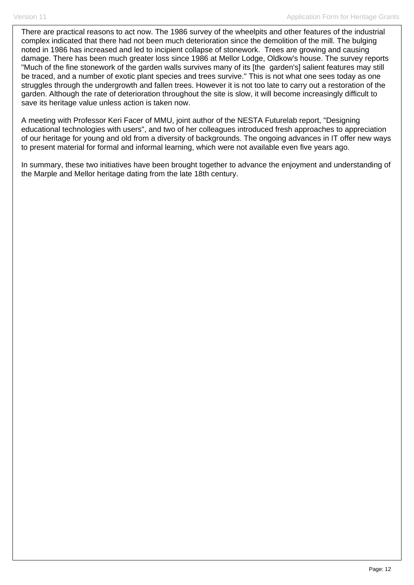There are practical reasons to act now. The 1986 survey of the wheelpits and other features of the industrial complex indicated that there had not been much deterioration since the demolition of the mill. The bulging noted in 1986 has increased and led to incipient collapse of stonework. Trees are growing and causing damage. There has been much greater loss since 1986 at Mellor Lodge, Oldkow's house. The survey reports "Much of the fine stonework of the garden walls survives many of its [the garden's] salient features may still be traced, and a number of exotic plant species and trees survive." This is not what one sees today as one struggles through the undergrowth and fallen trees. However it is not too late to carry out a restoration of the garden. Although the rate of deterioration throughout the site is slow, it will become increasingly difficult to save its heritage value unless action is taken now.

A meeting with Professor Keri Facer of MMU, joint author of the NESTA Futurelab report, "Designing educational technologies with users", and two of her colleagues introduced fresh approaches to appreciation of our heritage for young and old from a diversity of backgrounds. The ongoing advances in IT offer new ways to present material for formal and informal learning, which were not available even five years ago.

In summary, these two initiatives have been brought together to advance the enjoyment and understanding of the Marple and Mellor heritage dating from the late 18th century.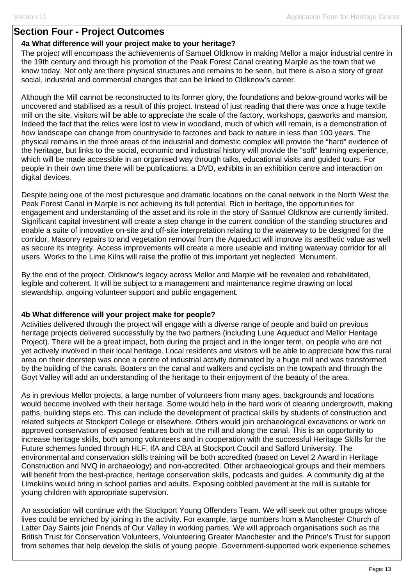### **Section Four - Project Outcomes**

### **4a What difference will your project make to your heritage?**

The project will encompass the achievements of Samuel Oldknow in making Mellor a major industrial centre in the 19th century and through his promotion of the Peak Forest Canal creating Marple as the town that we know today. Not only are there physical structures and remains to be seen, but there is also a story of great social, industrial and commercial changes that can be linked to Oldknow's career.

Although the Mill cannot be reconstructed to its former glory, the foundations and below-ground works will be uncovered and stabilised as a result of this project. Instead of just reading that there was once a huge textile mill on the site, visitors will be able to appreciate the scale of the factory, workshops, gasworks and mansion. Indeed the fact that the relics were lost to view in woodland, much of which will remain, is a demonstration of how landscape can change from countryside to factories and back to nature in less than 100 years. The physical remains in the three areas of the industrial and domestic complex will provide the "hard" evidence of the heritage, but links to the social, economic and industrial history will provide the "soft" learning experience, which will be made accessible in an organised way through talks, educational visits and guided tours. For people in their own time there will be publications, a DVD, exhibits in an exhibition centre and interaction on digital devices.

Despite being one of the most picturesque and dramatic locations on the canal network in the North West the Peak Forest Canal in Marple is not achieving its full potential. Rich in heritage, the opportunities for engagement and understanding of the asset and its role in the story of Samuel Oldknow are currently limited. Significant capital investment will create a step change in the current condition of the standing structures and enable a suite of innovative on-site and off-site interpretation relating to the waterway to be designed for the corridor. Masonry repairs to and vegetation removal from the Aqueduct will improve its aesthetic value as well as secure its integrity. Access improvements will create a more useable and inviting waterway corridor for all users. Works to the Lime Kilns will raise the profile of this important yet neglected Monument.

By the end of the project, Oldknow's legacy across Mellor and Marple will be revealed and rehabilitated, legible and coherent. It will be subject to a management and maintenance regime drawing on local stewardship, ongoing volunteer support and public engagement.

### **4b What difference will your project make for people?**

Activities delivered through the project will engage with a diverse range of people and build on previous heritage projects delivered successfully by the two partners (including Lune Aqueduct and Mellor Heritage Project). There will be a great impact, both during the project and in the longer term, on people who are not yet actively involved in their local heritage. Local residents and visitors will be able to appreciate how this rural area on their doorstep was once a centre of industrial activity dominated by a huge mill and was transformed by the building of the canals. Boaters on the canal and walkers and cyclists on the towpath and through the Goyt Valley will add an understanding of the heritage to their enjoyment of the beauty of the area.

As in previous Mellor projects, a large number of volunteers from many ages, backgrounds and locations would become involved with their heritage. Some would help in the hard work of clearing undergrowth, making paths, building steps etc. This can include the development of practical skills by students of construction and related subjects at Stockport College or elsewhere. Others would join archaeological excavations or work on approved conservation of exposed features both at the mill and along the canal. This is an opportunity to increase heritage skills, both among volunteers and in cooperation with the successful Heritage Skills for the Future schemes funded through HLF, IfA and CBA at Stockport Coucil and Salford University. The environmental and conservation skills training will be both accredited (based on Level 2 Award in Heritage Construction and NVQ in archaeology) and non-accredited. Other archaeological groups and their members will benefit from the best-practice, heritage conservation skills, podcasts and guides. A community dig at the Limekilns would bring in school parties and adults. Exposing cobbled pavement at the mill is suitable for young children with appropriate supervsion.

An association will continue with the Stockport Young Offenders Team. We will seek out other groups whose lives could be enriched by joining in the activity. For example, large numbers from a Manchester Church of Latter Day Saints join Friends of Our Valley in working parties. We will approach organisations such as the British Trust for Conservation Volunteers, Volunteering Greater Manchester and the Prince's Trust for support from schemes that help develop the skills of young people. Government-supported work experience schemes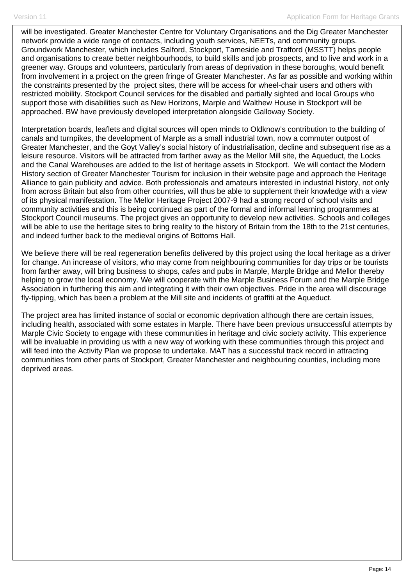will be investigated. Greater Manchester Centre for Voluntary Organisations and the Dig Greater Manchester network provide a wide range of contacts, including youth services, NEETs, and community groups. Groundwork Manchester, which includes Salford, Stockport, Tameside and Trafford (MSSTT) helps people and organisations to create better neighbourhoods, to build skills and job prospects, and to live and work in a greener way. Groups and volunteers, particularly from areas of deprivation in these boroughs, would benefit from involvement in a project on the green fringe of Greater Manchester. As far as possible and working within the constraints presented by the project sites, there will be access for wheel-chair users and others with restricted mobility. Stockport Council services for the disabled and partially sighted and local Groups who support those with disabilities such as New Horizons, Marple and Walthew House in Stockport will be approached. BW have previously developed interpretation alongside Galloway Society.

Interpretation boards, leaflets and digital sources will open minds to Oldknow's contribution to the building of canals and turnpikes, the development of Marple as a small industrial town, now a commuter outpost of Greater Manchester, and the Goyt Valley's social history of industrialisation, decline and subsequent rise as a leisure resource. Visitors will be attracted from farther away as the Mellor Mill site, the Aqueduct, the Locks and the Canal Warehouses are added to the list of heritage assets in Stockport. We will contact the Modern History section of Greater Manchester Tourism for inclusion in their website page and approach the Heritage Alliance to gain publicity and advice. Both professionals and amateurs interested in industrial history, not only from across Britain but also from other countries, will thus be able to supplement their knowledge with a view of its physical manifestation. The Mellor Heritage Project 2007-9 had a strong record of school visits and community activities and this is being continued as part of the formal and informal learning programmes at Stockport Council museums. The project gives an opportunity to develop new activities. Schools and colleges will be able to use the heritage sites to bring reality to the history of Britain from the 18th to the 21st centuries, and indeed further back to the medieval origins of Bottoms Hall.

We believe there will be real regeneration benefits delivered by this project using the local heritage as a driver for change. An increase of visitors, who may come from neighbouring communities for day trips or be tourists from farther away, will bring business to shops, cafes and pubs in Marple, Marple Bridge and Mellor thereby helping to grow the local economy. We will cooperate with the Marple Business Forum and the Marple Bridge Association in furthering this aim and integrating it with their own objectives. Pride in the area will discourage fly-tipping, which has been a problem at the Mill site and incidents of graffiti at the Aqueduct.

The project area has limited instance of social or economic deprivation although there are certain issues, including health, associated with some estates in Marple. There have been previous unsuccessful attempts by Marple Civic Society to engage with these communities in heritage and civic society activity. This experience will be invaluable in providing us with a new way of working with these communities through this project and will feed into the Activity Plan we propose to undertake. MAT has a successful track record in attracting communities from other parts of Stockport, Greater Manchester and neighbouring counties, including more deprived areas.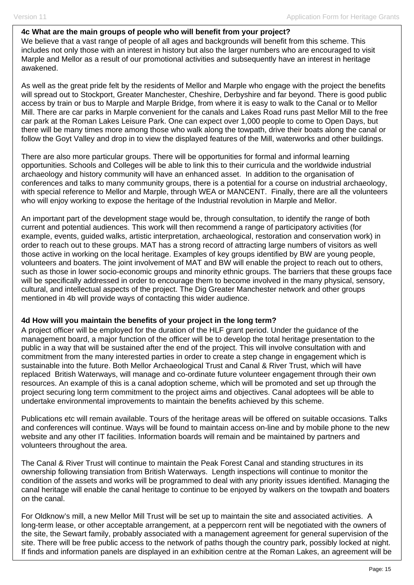### **4c What are the main groups of people who will benefit from your project?**

We believe that a vast range of people of all ages and backgrounds will benefit from this scheme. This includes not only those with an interest in history but also the larger numbers who are encouraged to visit Marple and Mellor as a result of our promotional activities and subsequently have an interest in heritage awakened.

As well as the great pride felt by the residents of Mellor and Marple who engage with the project the benefits will spread out to Stockport, Greater Manchester, Cheshire, Derbyshire and far beyond. There is good public access by train or bus to Marple and Marple Bridge, from where it is easy to walk to the Canal or to Mellor Mill. There are car parks in Marple convenient for the canals and Lakes Road runs past Mellor Mill to the free car park at the Roman Lakes Leisure Park. One can expect over 1,000 people to come to Open Days, but there will be many times more among those who walk along the towpath, drive their boats along the canal or follow the Goyt Valley and drop in to view the displayed features of the Mill, waterworks and other buildings.

There are also more particular groups. There will be opportunities for formal and informal learning opportunities. Schools and Colleges will be able to link this to their curricula and the worldwide industrial archaeology and history community will have an enhanced asset. In addition to the organisation of conferences and talks to many community groups, there is a potential for a course on industrial archaeology, with special reference to Mellor and Marple, through WEA or MANCENT. Finally, there are all the volunteers who will enjoy working to expose the heritage of the Industrial revolution in Marple and Mellor.

An important part of the development stage would be, through consultation, to identify the range of both current and potential audiences. This work will then recommend a range of participatory activities (for example, events, guided walks, artistic interpretation, archaeological, restoration and conservation work) in order to reach out to these groups. MAT has a strong record of attracting large numbers of visitors as well those active in working on the local heritage. Examples of key groups identified by BW are young people, volunteers and boaters. The joint involvement of MAT and BW will enable the project to reach out to others, such as those in lower socio-economic groups and minority ethnic groups. The barriers that these groups face will be specifically addressed in order to encourage them to become involved in the many physical, sensory, cultural, and intellectual aspects of the project. The Dig Greater Manchester network and other groups mentioned in 4b will provide ways of contacting this wider audience.

### **4d How will you maintain the benefits of your project in the long term?**

A project officer will be employed for the duration of the HLF grant period. Under the guidance of the management board, a major function of the officer will be to develop the total heritage presentation to the public in a way that will be sustained after the end of the project. This will involve consultation with and commitment from the many interested parties in order to create a step change in engagement which is sustainable into the future. Both Mellor Archaeological Trust and Canal & River Trust, which will have replaced British Waterways, will manage and co-ordinate future volunteer engagement through their own resources. An example of this is a canal adoption scheme, which will be promoted and set up through the project securing long term commitment to the project aims and objectives. Canal adoptees will be able to undertake environmental improvements to maintain the benefits achieved by this scheme.

Publications etc will remain available. Tours of the heritage areas will be offered on suitable occasions. Talks and conferences will continue. Ways will be found to maintain access on-line and by mobile phone to the new website and any other IT facilities. Information boards will remain and be maintained by partners and volunteers throughout the area.

The Canal & River Trust will continue to maintain the Peak Forest Canal and standing structures in its ownership following transiation from British Waterways. Length inspections will continue to monitor the condition of the assets and works will be programmed to deal with any priority issues identified. Managing the canal heritage will enable the canal heritage to continue to be enjoyed by walkers on the towpath and boaters on the canal.

For Oldknow's mill, a new Mellor Mill Trust will be set up to maintain the site and associated activities. A long-term lease, or other acceptable arrangement, at a peppercorn rent will be negotiated with the owners of the site, the Sewart family, probably associated with a management agreement for general supervision of the site. There will be free public access to the network of paths though the country park, possibly locked at night. If finds and information panels are displayed in an exhibition centre at the Roman Lakes, an agreement will be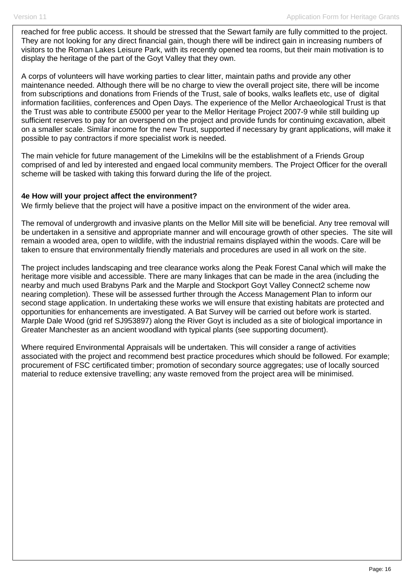reached for free public access. It should be stressed that the Sewart family are fully committed to the project. They are not looking for any direct financial gain, though there will be indirect gain in increasing numbers of visitors to the Roman Lakes Leisure Park, with its recently opened tea rooms, but their main motivation is to display the heritage of the part of the Goyt Valley that they own.

A corps of volunteers will have working parties to clear litter, maintain paths and provide any other maintenance needed. Although there will be no charge to view the overall project site, there will be income from subscriptions and donations from Friends of the Trust, sale of books, walks leaflets etc, use of digital information facilitiies, conferences and Open Days. The experience of the Mellor Archaeological Trust is that the Trust was able to contribute £5000 per year to the Mellor Heritage Project 2007-9 while still building up sufficient reserves to pay for an overspend on the project and provide funds for continuing excavation, albeit on a smaller scale. Similar income for the new Trust, supported if necessary by grant applications, will make it possible to pay contractors if more specialist work is needed.

The main vehicle for future management of the Limekilns will be the establishment of a Friends Group comprised of and led by interested and engaed local community members. The Project Officer for the overall scheme will be tasked with taking this forward during the life of the project.

### **4e How will your project affect the environment?**

We firmly believe that the project will have a positive impact on the environment of the wider area.

The removal of undergrowth and invasive plants on the Mellor Mill site will be beneficial. Any tree removal will be undertaken in a sensitive and appropriate manner and will encourage growth of other species. The site will remain a wooded area, open to wildlife, with the industrial remains displayed within the woods. Care will be taken to ensure that environmentally friendly materials and procedures are used in all work on the site.

The project includes landscaping and tree clearance works along the Peak Forest Canal which will make the heritage more visible and accessible. There are many linkages that can be made in the area (including the nearby and much used Brabyns Park and the Marple and Stockport Goyt Valley Connect2 scheme now nearing completion). These will be assessed further through the Access Management Plan to inform our second stage application. In undertaking these works we will ensure that existing habitats are protected and opportunities for enhancements are investigated. A Bat Survey will be carried out before work is started. Marple Dale Wood (grid ref SJ953897) along the River Goyt is included as a site of biological importance in Greater Manchester as an ancient woodland with typical plants (see supporting document).

Where required Environmental Appraisals will be undertaken. This will consider a range of activities associated with the project and recommend best practice procedures which should be followed. For example; procurement of FSC certificated timber; promotion of secondary source aggregates; use of locally sourced material to reduce extensive travelling; any waste removed from the project area will be minimised.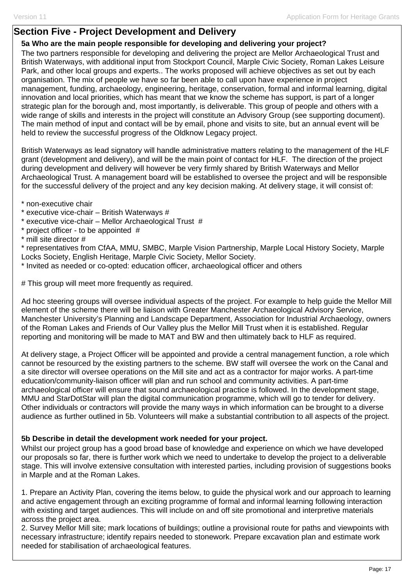## **Section Five - Project Development and Delivery**

### **5a Who are the main people responsible for developing and delivering your project?**

The two partners responsible for developing and delivering the project are Mellor Archaeological Trust and British Waterways, with additional input from Stockport Council, Marple Civic Society, Roman Lakes Leisure Park, and other local groups and experts.. The works proposed will achieve objectives as set out by each organisation. The mix of people we have so far been able to call upon have experience in project management, funding, archaeology, engineering, heritage, conservation, formal and informal learning, digital innovation and local priorities, which has meant that we know the scheme has support, is part of a longer strategic plan for the borough and, most importantly, is deliverable. This group of people and others with a wide range of skills and interests in the project will constitute an Advisory Group (see supporting document). The main method of input and contact will be by email, phone and visits to site, but an annual event will be held to review the successful progress of the Oldknow Legacy project.

British Waterways as lead signatory will handle administrative matters relating to the management of the HLF grant (development and delivery), and will be the main point of contact for HLF. The direction of the project during development and delivery will however be very firmly shared by British Waterways and Mellor Archaeological Trust. A management board will be established to oversee the project and will be responsible for the successful delivery of the project and any key decision making. At delivery stage, it will consist of:

- \* non-executive chair
- \* executive vice-chair British Waterways #
- \* executive vice-chair Mellor Archaeological Trust #
- \* project officer to be appointed #
- \* mill site director #

\* representatives from CfAA, MMU, SMBC, Marple Vision Partnership, Marple Local History Society, Marple Locks Society, English Heritage, Marple Civic Society, Mellor Society.

\* Invited as needed or co-opted: education officer, archaeological officer and others

# This group will meet more frequently as required.

Ad hoc steering groups will oversee individual aspects of the project. For example to help guide the Mellor Mill element of the scheme there will be liaison with Greater Manchester Archaeological Advisory Service, Manchester University's Planning and Landscape Department, Association for Industrial Archaeology, owners of the Roman Lakes and Friends of Our Valley plus the Mellor Mill Trust when it is established. Regular reporting and monitoring will be made to MAT and BW and then ultimately back to HLF as required.

At delivery stage, a Project Officer will be appointed and provide a central management function, a role which cannot be resourced by the existing partners to the scheme. BW staff will oversee the work on the Canal and a site director will oversee operations on the Mill site and act as a contractor for major works. A part-time education/community-liaison officer will plan and run school and community activities. A part-time archaeological officer will ensure that sound archaeological practice is followed. In the development stage, MMU and StarDotStar will plan the digital communication programme, which will go to tender for delivery. Other individuals or contractors will provide the many ways in which information can be brought to a diverse audience as further outlined in 5b. Volunteers will make a substantial contribution to all aspects of the project.

### **5b Describe in detail the development work needed for your project.**

Whilst our project group has a good broad base of knowledge and experience on which we have developed our proposals so far, there is further work which we need to undertake to develop the project to a deliverable stage. This will involve extensive consultation with interested parties, including provision of suggestions books in Marple and at the Roman Lakes.

1. Prepare an Activity Plan, covering the items below, to guide the physical work and our approach to learning and active engagement through an exciting programme of formal and informal learning following interaction with existing and target audiences. This will include on and off site promotional and interpretive materials across the project area.

2. Survey Mellor Mill site; mark locations of buildings; outline a provisional route for paths and viewpoints with necessary infrastructure; identify repairs needed to stonework. Prepare excavation plan and estimate work needed for stabilisation of archaeological features.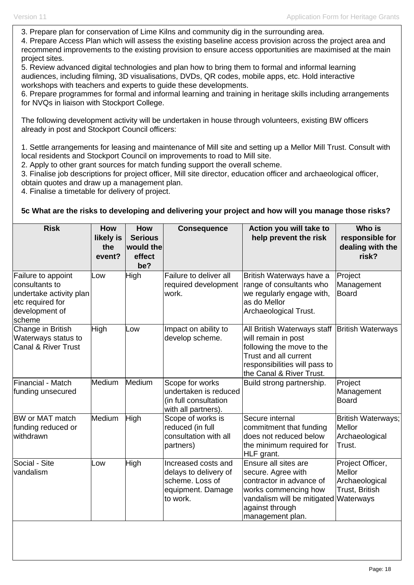3. Prepare plan for conservation of Lime Kilns and community dig in the surrounding area.

4. Prepare Access Plan which will assess the existing baseline access provision across the project area and recommend improvements to the existing provision to ensure access opportunities are maximised at the main project sites.

5. Review advanced digital technologies and plan how to bring them to formal and informal learning audiences, including filming, 3D visualisations, DVDs, QR codes, mobile apps, etc. Hold interactive workshops with teachers and experts to guide these developments.

6. Prepare programmes for formal and informal learning and training in heritage skills including arrangements for NVQs in liaison with Stockport College.

The following development activity will be undertaken in house through volunteers, existing BW officers already in post and Stockport Council officers:

1. Settle arrangements for leasing and maintenance of Mill site and setting up a Mellor Mill Trust. Consult with local residents and Stockport Council on improvements to road to Mill site.

2. Apply to other grant sources for match funding support the overall scheme.

3. Finalise job descriptions for project officer, Mill site director, education officer and archaeological officer,

obtain quotes and draw up a management plan.

4. Finalise a timetable for delivery of project.

### **5c What are the risks to developing and delivering your project and how will you manage those risks?**

| <b>Risk</b>                                                                                                     | <b>How</b><br>likely is<br>the<br>event? | <b>How</b><br><b>Serious</b><br>would the<br>effect<br>be? | <b>Consequence</b>                                                                               | Action you will take to<br>help prevent the risk                                                                                                                                          | Who is<br>responsible for<br>dealing with the<br>risk?         |
|-----------------------------------------------------------------------------------------------------------------|------------------------------------------|------------------------------------------------------------|--------------------------------------------------------------------------------------------------|-------------------------------------------------------------------------------------------------------------------------------------------------------------------------------------------|----------------------------------------------------------------|
| Failure to appoint<br>consultants to<br>undertake activity plan<br>etc required for<br>development of<br>scheme | LOW                                      | High                                                       | Failure to deliver all<br>required development<br>work.                                          | British Waterways have a<br>range of consultants who<br>we regularly engage with,<br>as do Mellor<br>Archaeological Trust.                                                                | Project<br>Management<br><b>Board</b>                          |
| Change in British<br>Waterways status to<br><b>Canal &amp; River Trust</b>                                      | High                                     | LOW                                                        | Impact on ability to<br>develop scheme.                                                          | All British Waterways staff   British Waterways<br>will remain in post<br>following the move to the<br>Trust and all current<br>responsibilities will pass to<br>the Canal & River Trust. |                                                                |
| Financial - Match<br>funding unsecured                                                                          | Medium                                   | Medium                                                     | Scope for works<br>undertaken is reduced<br>(in full consultation<br>with all partners).         | Build strong partnership.                                                                                                                                                                 | Project<br>Management<br><b>Board</b>                          |
| <b>BW or MAT match</b><br>funding reduced or<br>withdrawn                                                       | Medium                                   | High                                                       | Scope of works is<br>reduced (in full<br>consultation with all<br>partners)                      | Secure internal<br>commitment that funding<br>does not reduced below<br>the minimum required for<br>HLF grant.                                                                            | British Waterways;<br>Mellor<br>Archaeological<br>Trust.       |
| Social - Site<br>vandalism                                                                                      | .ow                                      | High                                                       | Increased costs and<br>delays to delivery of<br>scheme. Loss of<br>equipment. Damage<br>to work. | Ensure all sites are<br>secure. Agree with<br>contractor in advance of<br>works commencing how<br>vandalism will be mitigated Waterways<br>against through<br>management plan.            | Project Officer,<br>Mellor<br>Archaeological<br>Trust, British |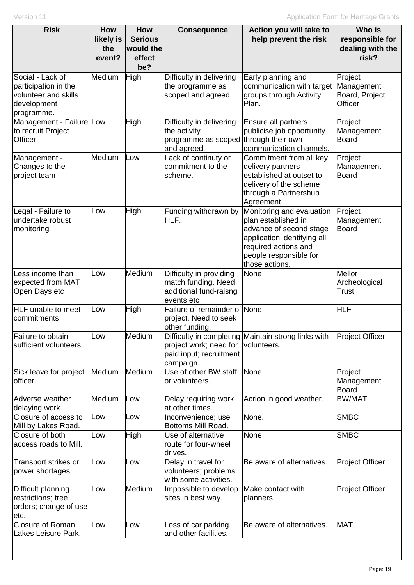| <b>Risk</b>                                                                                   | <b>How</b><br>likely is<br>the<br>event? | <b>How</b><br><b>Serious</b><br>would the<br>effect<br>be? | <b>Consequence</b>                                                                     | Action you will take to<br>help prevent the risk                                                                                                                               | Who is<br>responsible for<br>dealing with the<br>risk? |
|-----------------------------------------------------------------------------------------------|------------------------------------------|------------------------------------------------------------|----------------------------------------------------------------------------------------|--------------------------------------------------------------------------------------------------------------------------------------------------------------------------------|--------------------------------------------------------|
| Social - Lack of<br>participation in the<br>volunteer and skills<br>development<br>programme. | Medium                                   | High                                                       | Difficulty in delivering<br>the programme as<br>scoped and agreed.                     | Early planning and<br>communication with target<br>groups through Activity<br>Plan.                                                                                            | Project<br>Management<br>Board, Project<br>Officer     |
| Management - Failure Low<br>to recruit Project<br>Officer                                     |                                          | <b>High</b>                                                | Difficulty in delivering<br>the activity<br>programme as scoped<br>and agreed.         | Ensure all partners<br>publicise job opportunity<br>through their own<br>communication channels.                                                                               | Project<br>Management<br><b>Board</b>                  |
| Management -<br>Changes to the<br>project team                                                | Medium                                   | Low                                                        | Lack of continuty or<br>commitment to the<br>scheme.                                   | Commitment from all key<br>delivery partners<br>established at outset to<br>delivery of the scheme<br>through a Partnershup<br>Agreement.                                      | Project<br>Management<br><b>Board</b>                  |
| Legal - Failure to<br>undertake robust<br>monitoring                                          | Low                                      | High                                                       | Funding withdrawn by<br>HLF.                                                           | Monitoring and evaluation<br>plan established in<br>advance of second stage<br>application identifying all<br>required actions and<br>people responsible for<br>those actions. | Project<br>Management<br><b>Board</b>                  |
| Less income than<br>expected from MAT<br>Open Days etc                                        | Low                                      | Medium                                                     | Difficulty in providing<br>match funding. Need<br>additional fund-raisng<br>events etc | None                                                                                                                                                                           | Mellor<br>Archeological<br>Trust                       |
| <b>HLF</b> unable to meet<br>commitments                                                      | Low                                      | High                                                       | Failure of remainder of None<br>project. Need to seek<br>other funding.                |                                                                                                                                                                                | <b>HLF</b>                                             |
| Failure to obtain<br>sufficient volunteers                                                    | Low                                      | Medium                                                     | project work; need for<br>paid input; recruitment<br>campaign.                         | Difficulty in completing Maintain strong links with<br>volunteers.                                                                                                             | <b>Project Officer</b>                                 |
| Sick leave for project<br>officer.                                                            | Medium                                   | Medium                                                     | Use of other BW staff<br>or volunteers.                                                | None                                                                                                                                                                           | Project<br>Management<br><b>Board</b>                  |
| Adverse weather<br>delaying work.                                                             | Medium                                   | Low                                                        | Delay requiring work<br>at other times.                                                | Acrion in good weather.                                                                                                                                                        | <b>BW/MAT</b>                                          |
| Closure of access to<br>Mill by Lakes Road.                                                   | Low                                      | Low                                                        | Inconvenience; use<br>Bottoms Mill Road.                                               | None.                                                                                                                                                                          | <b>SMBC</b>                                            |
| Closure of both<br>access roads to Mill.                                                      | Low                                      | High                                                       | Use of alternative<br>route for four-wheel<br>drives.                                  | None                                                                                                                                                                           | <b>SMBC</b>                                            |
| Transport strikes or<br>power shortages.                                                      | Low                                      | Low                                                        | Delay in travel for<br>volunteers; problems<br>with some activities.                   | Be aware of alternatives.                                                                                                                                                      | <b>Project Officer</b>                                 |
| Difficult planning<br>restrictions; tree<br>orders; change of use<br>etc.                     | Low                                      | Medium                                                     | Impossible to develop<br>sites in best way.                                            | Make contact with<br>planners.                                                                                                                                                 | <b>Project Officer</b>                                 |
| <b>Closure of Roman</b><br>Lakes Leisure Park.                                                | Low                                      | Low                                                        | Loss of car parking<br>and other facilities.                                           | Be aware of alternatives.                                                                                                                                                      | <b>MAT</b>                                             |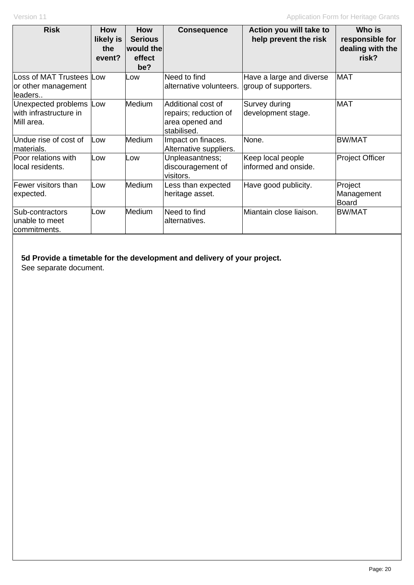| <b>Risk</b>                                                      | <b>How</b><br>likely is<br>the<br>event? | <b>How</b><br><b>Serious</b><br>would the<br>effect<br>be? | <b>Consequence</b>                                                            | Action you will take to<br>help prevent the risk | Who is<br>responsible for<br>dealing with the<br>risk? |
|------------------------------------------------------------------|------------------------------------------|------------------------------------------------------------|-------------------------------------------------------------------------------|--------------------------------------------------|--------------------------------------------------------|
| Loss of MAT Trustees Low<br>or other management<br>leaders       |                                          | Low                                                        | Need to find<br>alternative volunteers.                                       | Have a large and diverse<br>group of supporters. | <b>MAT</b>                                             |
| Unexpected problems Low<br>lwith infrastructure in<br>Mill area. |                                          | Medium                                                     | Additional cost of<br>repairs; reduction of<br>area opened and<br>stabilised. | Survey during<br>development stage.              | <b>MAT</b>                                             |
| Undue rise of cost of<br>materials.                              | Low                                      | Medium                                                     | Impact on finaces.<br>Alternative suppliers.                                  | None.                                            | <b>BW/MAT</b>                                          |
| Poor relations with<br>local residents.                          | Low                                      | Low                                                        | Unpleasantness;<br>discouragement of<br>visitors.                             | Keep local people<br>informed and onside.        | <b>Project Officer</b>                                 |
| Fewer visitors than<br>expected.                                 | Low                                      | Medium                                                     | Less than expected<br>heritage asset.                                         | Have good publicity.                             | Project<br>Management<br><b>Board</b>                  |
| Sub-contractors<br>unable to meet<br>commitments.                | Low                                      | <b>Medium</b>                                              | Need to find<br>alternatives.                                                 | Miantain close liaison.                          | <b>BW/MAT</b>                                          |

### **5d Provide a timetable for the development and delivery of your project.**

See separate document.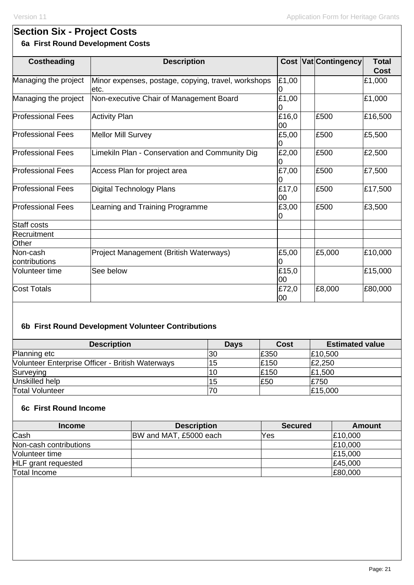# **Section Six - Project Costs 6a First Round Development Costs**

| <b>Costheading</b>        | <b>Description</b>                                          |              | <b>Cost Vat Contingency</b> | <b>Total</b><br>Cost |
|---------------------------|-------------------------------------------------------------|--------------|-----------------------------|----------------------|
| Managing the project      | Minor expenses, postage, copying, travel, workshops<br>etc. | £1,00        |                             | £1,000               |
| Managing the project      | Non-executive Chair of Management Board                     | £1,00<br>O   |                             | £1,000               |
| <b>Professional Fees</b>  | <b>Activity Plan</b>                                        | £16,0<br>l00 | £500                        | £16,500              |
| <b>Professional Fees</b>  | <b>Mellor Mill Survey</b>                                   | £5,00        | £500                        | £5,500               |
| <b>Professional Fees</b>  | Limekiln Plan - Conservation and Community Dig              | £2,00<br>0   | £500                        | £2,500               |
| <b>Professional Fees</b>  | Access Plan for project area                                | £7,00        | £500                        | £7,500               |
| <b>Professional Fees</b>  | Digital Technology Plans                                    | £17,0<br>00  | £500                        | £17,500              |
| <b>Professional Fees</b>  | Learning and Training Programme                             | £3,00        | £500                        | £3,500               |
| <b>Staff costs</b>        |                                                             |              |                             |                      |
| Recruitment               |                                                             |              |                             |                      |
| Other                     |                                                             |              |                             |                      |
| Non-cash<br>contributions | Project Management (British Waterways)                      | £5,00        | £5,000                      | £10,000              |
| Volunteer time            | See below                                                   | £15,0<br>l00 |                             | £15,000              |
| <b>Cost Totals</b>        |                                                             | £72,0<br>00  | £8,000                      | £80,000              |

# **6b First Round Development Volunteer Contributions**

| <b>Description</b>                                      | <b>Days</b> | <b>Cost</b> | <b>Estimated value</b> |
|---------------------------------------------------------|-------------|-------------|------------------------|
| Planning etc                                            | 30          | £350        | £10,500                |
| <b>Nolunteer Enterprise Officer - British Waterways</b> | 15          | £150        | £2,250                 |
| Surveying                                               | 10          | £150        | £1,500                 |
| Unskilled help                                          |             | £50         | £750                   |
| <b>Total Volunteer</b>                                  |             |             | £15,000                |

## **6c First Round Income**

| <b>Income</b>              | <b>Description</b>     | <b>Secured</b> | Amount  |
|----------------------------|------------------------|----------------|---------|
| Cash                       | BW and MAT, £5000 each | Yes            | E10,000 |
| Non-cash contributions     |                        |                | £10,000 |
| Volunteer time             |                        |                | £15,000 |
| <b>HLF</b> grant requested |                        |                | £45,000 |
| Total Income               |                        |                | E80,000 |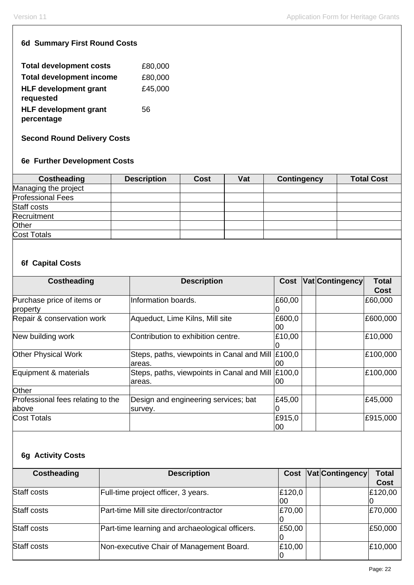### **6d Summary First Round Costs**

| <b>Total development costs</b>            | £80,000 |
|-------------------------------------------|---------|
| <b>Total development income</b>           | £80,000 |
| <b>HLF development grant</b><br>requested | £45,000 |
| <b>HLF development grant</b>              | 56      |
| percentage                                |         |

**Second Round Delivery Costs**

## **6e Further Development Costs**

| Costheading              | <b>Description</b> | <b>Cost</b> | Vat | Contingency | <b>Total Cost</b> |
|--------------------------|--------------------|-------------|-----|-------------|-------------------|
| Managing the project     |                    |             |     |             |                   |
| <b>Professional Fees</b> |                    |             |     |             |                   |
| Staff costs              |                    |             |     |             |                   |
| <b>Recruitment</b>       |                    |             |     |             |                   |
| Other                    |                    |             |     |             |                   |
| Cost Totals              |                    |             |     |             |                   |

## **6f Capital Costs**

| Costheading                       | <b>Description</b>                         |        | Cost Vat Contingency | <b>Total</b> |
|-----------------------------------|--------------------------------------------|--------|----------------------|--------------|
|                                   |                                            |        |                      | <b>Cost</b>  |
| Purchase price of items or        | Information boards.                        | £60,00 |                      | £60,000      |
| property                          |                                            |        |                      |              |
| Repair & conservation work        | Aqueduct, Lime Kilns, Mill site            | £600,0 |                      | £600,000     |
|                                   |                                            | 00     |                      |              |
| New building work                 | Contribution to exhibition centre.         | £10,00 |                      | £10,000      |
|                                   |                                            |        |                      |              |
| <b>Other Physical Work</b>        | Steps, paths, viewpoints in Canal and Mill | £100,0 |                      | £100,000     |
|                                   | areas.                                     | 00     |                      |              |
| Equipment & materials             | Steps, paths, viewpoints in Canal and Mill | £100,0 |                      | £100,000     |
|                                   | areas.                                     | 00     |                      |              |
| Other                             |                                            |        |                      |              |
| Professional fees relating to the | Design and engineering services; bat       | £45,00 |                      | £45,000      |
| above                             | survey.                                    |        |                      |              |
| <b>Cost Totals</b>                |                                            | £915,0 |                      | £915,000     |
|                                   |                                            | 00     |                      |              |

# **6g Activity Costs**

| <b>Costheading</b> | <b>Description</b>                              | Cost   | Vat Contingency | Total       |
|--------------------|-------------------------------------------------|--------|-----------------|-------------|
|                    |                                                 |        |                 | <b>Cost</b> |
| <b>Staff costs</b> | Full-time project officer, 3 years.             | £120,0 |                 | £120,00     |
|                    |                                                 | 00     |                 |             |
| Staff costs        | Part-time Mill site director/contractor         | £70,00 |                 | £70,000     |
|                    |                                                 |        |                 |             |
| Staff costs        | Part-time learning and archaeological officers. | £50,00 |                 | £50,000     |
|                    |                                                 |        |                 |             |
| Staff costs        | Non-executive Chair of Management Board.        | £10,00 |                 | £10,000     |
|                    |                                                 |        |                 |             |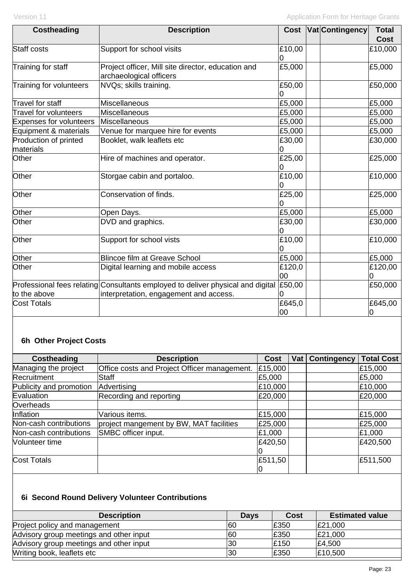| <b>Costheading</b>                 | <b>Description</b>                                                              | <b>Cost</b>        | <b>Vat Contingency</b> | <b>Total</b><br><b>Cost</b> |
|------------------------------------|---------------------------------------------------------------------------------|--------------------|------------------------|-----------------------------|
| <b>Staff costs</b>                 | Support for school visits                                                       | £10,00<br>10       |                        | £10,000                     |
| Training for staff                 | Project officer, Mill site director, education and<br>archaeological officers   | £5,000             |                        | £5,000                      |
| Training for volunteers            | NVQs; skills training.                                                          | £50,00<br>$\Omega$ |                        | £50,000                     |
| Travel for staff                   | Miscellaneous                                                                   | £5,000             |                        | £5,000                      |
| <b>Travel for volunteers</b>       | Miscellaneous                                                                   | £5,000             |                        | £5,000                      |
| <b>Expenses for volunteers</b>     | <b>Miscellaneous</b>                                                            | £5,000             |                        | £5,000                      |
| Equipment & materials              | Venue for marquee hire for events                                               | £5,000             |                        | £5,000                      |
| Production of printed<br>materials | Booklet, walk leaflets etc                                                      | £30,00<br>O        |                        | £30,000                     |
| Other                              | Hire of machines and operator.                                                  | £25,00<br>0        |                        | £25,000                     |
| Other                              | Storgae cabin and portaloo.                                                     | £10,00             |                        | £10,000                     |
| Other                              | Conservation of finds.                                                          | £25,00<br>0        |                        | £25,000                     |
| Other                              | Open Days.                                                                      | £5,000             |                        | £5,000                      |
| Other                              | DVD and graphics.                                                               | £30,00             |                        | £30,000                     |
| Other                              | Support for school vists                                                        | £10,00<br>0        |                        | £10,000                     |
| Other                              | <b>Blincoe film at Greave School</b>                                            | £5,000             |                        | £5,000                      |
| Other                              | Digital learning and mobile access                                              | £120,0<br>00       |                        | £120,00<br>10               |
|                                    | Professional fees relating Consultants employed to deliver physical and digital | £50,00             |                        | £50,000                     |
| to the above                       | interpretation, engagement and access.                                          |                    |                        |                             |
| <b>Cost Totals</b>                 |                                                                                 | £645,0<br>00       |                        | £645,00<br>$\overline{0}$   |

# **6h Other Project Costs**

| Costheading             | <b>Description</b>                           | <b>Cost</b> | Vat   Contingency | <b>Total Cost</b> |
|-------------------------|----------------------------------------------|-------------|-------------------|-------------------|
| Managing the project    | Office costs and Project Officer management. | £15,000     |                   | £15,000           |
| Recruitment             | <b>Staff</b>                                 | £5,000      |                   | £5,000            |
| Publicity and promotion | Advertising                                  | £10,000     |                   | £10,000           |
| Evaluation              | Recording and reporting                      | £20,000     |                   | £20,000           |
| Overheads               |                                              |             |                   |                   |
| Inflation               | Various items.                               | £15,000     |                   | £15,000           |
| Non-cash contributions  | project mangement by BW, MAT facilities      | £25,000     |                   | £25,000           |
| Non-cash contributions  | SMBC officer input.                          | £1,000      |                   | £1,000            |
| Volunteer time          |                                              | £420,50     |                   | £420,500          |
|                         |                                              |             |                   |                   |
| <b>Cost Totals</b>      |                                              | £511,50     |                   | £511,500          |
|                         |                                              | U           |                   |                   |

# **6i Second Round Delivery Volunteer Contributions**

| <b>Description</b>                      | <b>Days</b> | Cost | <b>Estimated value</b> |
|-----------------------------------------|-------------|------|------------------------|
| Project policy and management           | 160         | £350 | £21,000                |
| Advisory group meetings and other input | 60          | £350 | £21,000                |
| Advisory group meetings and other input | 30          | £150 | £4,500                 |
| Writing book, leaflets etc              | 30          | £350 | £10,500                |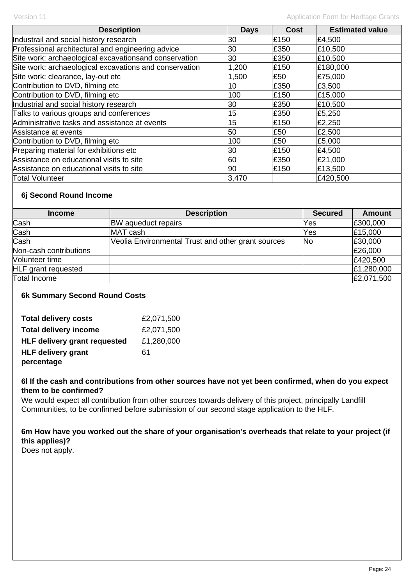| <b>Description</b>                                     | <b>Days</b> | <b>Cost</b> | <b>Estimated value</b> |
|--------------------------------------------------------|-------------|-------------|------------------------|
| Industrail and social history research                 | 30          | £150        | £4,500                 |
| Professional architectural and engineering advice      | 30          | £350        | £10,500                |
| Site work: archaeological excavationsand conservation  | 30          | £350        | £10,500                |
| Site work: archaeological excavations and conservation | 1,200       | £150        | £180,000               |
| Site work: clearance, lay-out etc                      | 1,500       | £50         | £75,000                |
| Contribution to DVD, filming etc                       | 10          | £350        | £3,500                 |
| Contribution to DVD, filming etc                       | 100         | £150        | £15,000                |
| Industrial and social history research                 | 30          | £350        | £10,500                |
| Talks to various groups and conferences                | 15          | £350        | £5,250                 |
| Administrative tasks and assistance at events          | 15          | £150        | £2,250                 |
| Assistance at events                                   | 50          | £50         | £2,500                 |
| Contribution to DVD, filming etc                       | 100         | £50         | £5,000                 |
| Preparing material for exhibitions etc                 | 30          | £150        | £4,500                 |
| Assistance on educational visits to site               | 60          | £350        | £21,000                |
| Assistance on educational visits to site               | 90          | £150        | £13,500                |
| Total Volunteer                                        | 3,470       |             | £420,500               |

### **6j Second Round Income**

| <b>Income</b>              | <b>Description</b>                                 | <b>Secured</b> | <b>Amount</b> |
|----------------------------|----------------------------------------------------|----------------|---------------|
| Cash                       | <b>BW</b> aqueduct repairs                         | Yes            | £300,000      |
| Cash                       | MAT cash                                           | Yes            | £15,000       |
| Cash                       | Veolia Environmental Trust and other grant sources | <b>No</b>      | £30,000       |
| Non-cash contributions     |                                                    |                | £26,000       |
| Volunteer time             |                                                    |                | £420,500      |
| <b>HLF</b> grant requested |                                                    |                | £1,280,000    |
| Total Income               |                                                    |                | £2,071,500    |

### **6k Summary Second Round Costs**

| <b>Total delivery costs</b>         | £2,071,500 |
|-------------------------------------|------------|
| <b>Total delivery income</b>        | £2,071,500 |
| <b>HLF delivery grant requested</b> | £1,280,000 |
| <b>HLF delivery grant</b>           | 61         |
| percentage                          |            |

### **6l If the cash and contributions from other sources have not yet been confirmed, when do you expect them to be confirmed?**

We would expect all contribution from other sources towards delivery of this project, principally Landfill Communities, to be confirmed before submission of our second stage application to the HLF.

### **6m How have you worked out the share of your organisation's overheads that relate to your project (if this applies)?**

Does not apply.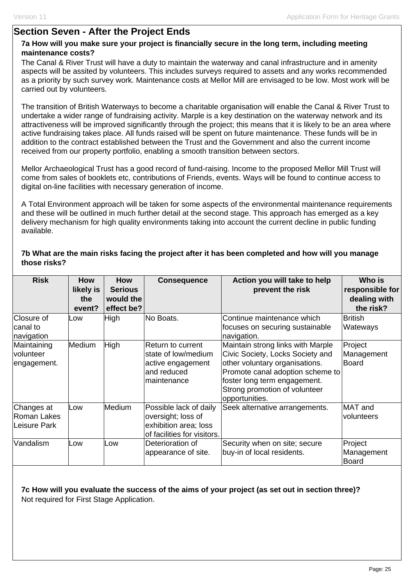## **Section Seven - After the Project Ends**

### **7a How will you make sure your project is financially secure in the long term, including meeting maintenance costs?**

The Canal & River Trust will have a duty to maintain the waterway and canal infrastructure and in amenity aspects will be assited by volunteers. This includes surveys required to assets and any works recommended as a priority by such survey work. Maintenance costs at Mellor Mill are envisaged to be low. Most work will be carried out by volunteers.

The transition of British Waterways to become a charitable organisation will enable the Canal & River Trust to undertake a wider range of fundraising activity. Marple is a key destination on the waterway network and its attractiveness will be improved significantly through the project; this means that it is likely to be an area where active fundraising takes place. All funds raised will be spent on future maintenance. These funds will be in addition to the contract established between the Trust and the Government and also the current income received from our property portfolio, enabling a smooth transition between sectors.

Mellor Archaeological Trust has a good record of fund-raising. Income to the proposed Mellor Mill Trust will come from sales of booklets etc, contributions of Friends, events. Ways will be found to continue access to digital on-line facilities with necessary generation of income.

A Total Environment approach will be taken for some aspects of the environmental maintenance requirements and these will be outlined in much further detail at the second stage. This approach has emerged as a key delivery mechanism for high quality environments taking into account the current decline in public funding available.

### **7b What are the main risks facing the project after it has been completed and how will you manage those risks?**

| <b>Risk</b>                               | How<br>likely is<br>the<br>event? | How<br><b>Serious</b><br>would the<br>effect be? | <b>Consequence</b>                                                                                   | Action you will take to help<br>prevent the risk                                                                                                                                                                               | Who is<br>responsible for<br>dealing with<br>the risk? |
|-------------------------------------------|-----------------------------------|--------------------------------------------------|------------------------------------------------------------------------------------------------------|--------------------------------------------------------------------------------------------------------------------------------------------------------------------------------------------------------------------------------|--------------------------------------------------------|
| Closure of<br> canal to<br>navigation     | LOW                               | High                                             | No Boats.                                                                                            | Continue maintenance which<br>focuses on securing sustainable<br>navigation.                                                                                                                                                   | <b>British</b><br>Wateways                             |
| Maintaining<br>volunteer<br>engagement.   | Medium                            | High                                             | <b>Return to current</b><br>state of low/medium<br>active engagement<br>and reduced<br>maintenance   | Maintain strong links with Marple<br>Civic Society, Locks Society and<br>other voluntary organisations.<br>Promote canal adoption scheme to<br>foster long term engagement.<br>Strong promotion of volunteer<br>opportunities. | Project<br>Management<br>Board                         |
| Changes at<br>Roman Lakes<br>Leisure Park | Low                               | Medium                                           | Possible lack of daily<br>oversight; loss of<br>exhibition area; loss<br>of facilities for visitors. | Seek alternative arrangements.                                                                                                                                                                                                 | MAT and<br>volunteers                                  |
| Vandalism                                 | Low                               | Low                                              | Deterioration of<br>appearance of site.                                                              | Security when on site; secure<br>buy-in of local residents.                                                                                                                                                                    | Project<br>Management<br><b>Board</b>                  |

### **7c How will you evaluate the success of the aims of your project (as set out in section three)?**  Not required for First Stage Application.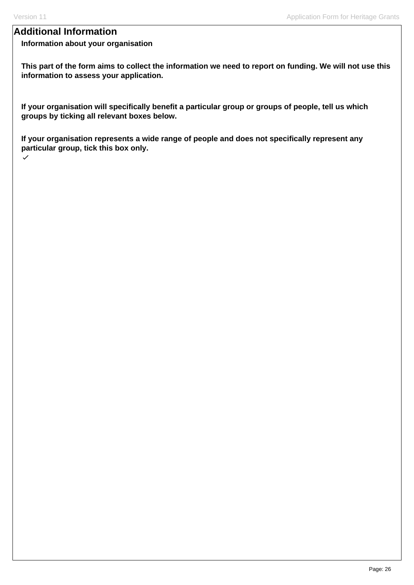# **Additional Information**

### **Information about your organisation**

**This part of the form aims to collect the information we need to report on funding. We will not use this information to assess your application.**

**If your organisation will specifically benefit a particular group or groups of people, tell us which groups by ticking all relevant boxes below.** 

**If your organisation represents a wide range of people and does not specifically represent any particular group, tick this box only.**  $\checkmark$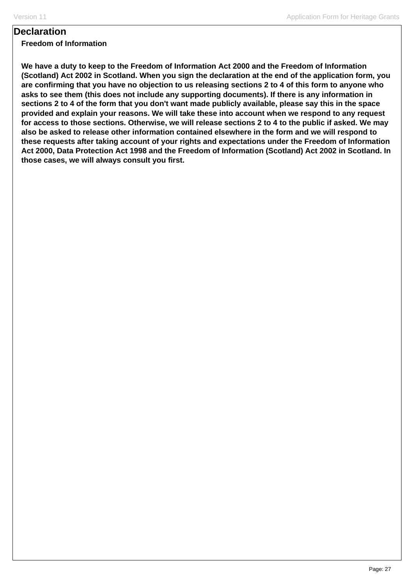## **Declaration**

### **Freedom of Information**

**We have a duty to keep to the Freedom of Information Act 2000 and the Freedom of Information (Scotland) Act 2002 in Scotland. When you sign the declaration at the end of the application form, you are confirming that you have no objection to us releasing sections 2 to 4 of this form to anyone who asks to see them (this does not include any supporting documents). If there is any information in sections 2 to 4 of the form that you don't want made publicly available, please say this in the space provided and explain your reasons. We will take these into account when we respond to any request for access to those sections. Otherwise, we will release sections 2 to 4 to the public if asked. We may also be asked to release other information contained elsewhere in the form and we will respond to these requests after taking account of your rights and expectations under the Freedom of Information Act 2000, Data Protection Act 1998 and the Freedom of Information (Scotland) Act 2002 in Scotland. In those cases, we will always consult you first.**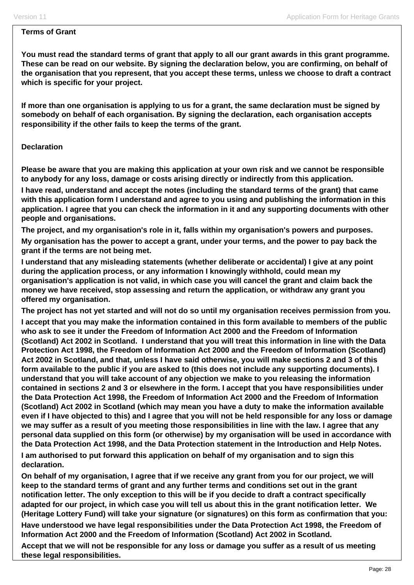#### **Terms of Grant**

**You must read the standard terms of grant that apply to all our grant awards in this grant programme. These can be read on our website. By signing the declaration below, you are confirming, on behalf of the organisation that you represent, that you accept these terms, unless we choose to draft a contract which is specific for your project.** 

**If more than one organisation is applying to us for a grant, the same declaration must be signed by somebody on behalf of each organisation. By signing the declaration, each organisation accepts responsibility if the other fails to keep the terms of the grant.** 

### **Declaration**

**Please be aware that you are making this application at your own risk and we cannot be responsible to anybody for any loss, damage or costs arising directly or indirectly from this application.** 

**I have read, understand and accept the notes (including the standard terms of the grant) that came with this application form I understand and agree to you using and publishing the information in this application. I agree that you can check the information in it and any supporting documents with other people and organisations.** 

**The project, and my organisation's role in it, falls within my organisation's powers and purposes.** 

**My organisation has the power to accept a grant, under your terms, and the power to pay back the grant if the terms are not being met.** 

**I understand that any misleading statements (whether deliberate or accidental) I give at any point during the application process, or any information I knowingly withhold, could mean my organisation's application is not valid, in which case you will cancel the grant and claim back the money we have received, stop assessing and return the application, or withdraw any grant you offered my organisation.** 

**The project has not yet started and will not do so until my organisation receives permission from you.** 

**I accept that you may make the information contained in this form available to members of the public who ask to see it under the Freedom of Information Act 2000 and the Freedom of Information (Scotland) Act 2002 in Scotland. I understand that you will treat this information in line with the Data Protection Act 1998, the Freedom of Information Act 2000 and the Freedom of Information (Scotland) Act 2002 in Scotland, and that, unless I have said otherwise, you will make sections 2 and 3 of this form available to the public if you are asked to (this does not include any supporting documents). I understand that you will take account of any objection we make to you releasing the information contained in sections 2 and 3 or elsewhere in the form. I accept that you have responsibilities under the Data Protection Act 1998, the Freedom of Information Act 2000 and the Freedom of Information (Scotland) Act 2002 in Scotland (which may mean you have a duty to make the information available even if I have objected to this) and I agree that you will not be held responsible for any loss or damage we may suffer as a result of you meeting those responsibilities in line with the law. I agree that any personal data supplied on this form (or otherwise) by my organisation will be used in accordance with the Data Protection Act 1998, and the Data Protection statement in the Introduction and Help Notes.** 

**I am authorised to put forward this application on behalf of my organisation and to sign this declaration.** 

**On behalf of my organisation, I agree that if we receive any grant from you for our project, we will keep to the standard terms of grant and any further terms and conditions set out in the grant notification letter. The only exception to this will be if you decide to draft a contract specifically adapted for our project, in which case you will tell us about this in the grant notification letter. We (Heritage Lottery Fund) will take your signature (or signatures) on this form as confirmation that you:** 

**Have understood we have legal responsibilities under the Data Protection Act 1998, the Freedom of Information Act 2000 and the Freedom of Information (Scotland) Act 2002 in Scotland.** 

**Accept that we will not be responsible for any loss or damage you suffer as a result of us meeting these legal responsibilities.**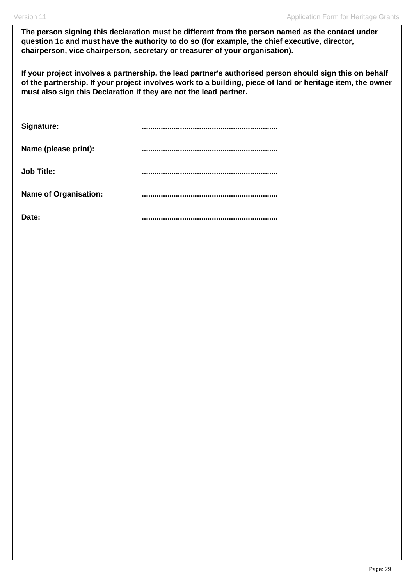**The person signing this declaration must be different from the person named as the contact under question 1c and must have the authority to do so (for example, the chief executive, director, chairperson, vice chairperson, secretary or treasurer of your organisation).**

**If your project involves a partnership, the lead partner's authorised person should sign this on behalf of the partnership. If your project involves work to a building, piece of land or heritage item, the owner must also sign this Declaration if they are not the lead partner.** 

| Signature:                   |  |
|------------------------------|--|
| Name (please print):         |  |
| <b>Job Title:</b>            |  |
| <b>Name of Organisation:</b> |  |
| Date:                        |  |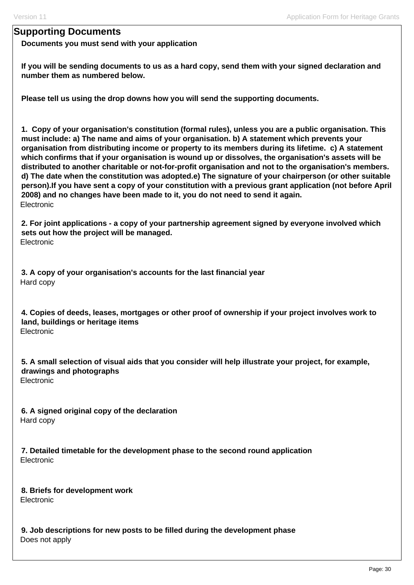# **Supporting Documents**

**Documents you must send with your application**

**If you will be sending documents to us as a hard copy, send them with your signed declaration and number them as numbered below.** 

**Please tell us using the drop downs how you will send the supporting documents.** 

**1. Copy of your organisation's constitution (formal rules), unless you are a public organisation. This must include: a) The name and aims of your organisation. b) A statement which prevents your organisation from distributing income or property to its members during its lifetime. c) A statement which confirms that if your organisation is wound up or dissolves, the organisation's assets will be distributed to another charitable or not-for-profit organisation and not to the organisation's members. d) The date when the constitution was adopted.e) The signature of your chairperson (or other suitable person).If you have sent a copy of your constitution with a previous grant application (not before April 2008) and no changes have been made to it, you do not need to send it again.**  Electronic

**2. For joint applications - a copy of your partnership agreement signed by everyone involved which sets out how the project will be managed. Electronic** 

**3. A copy of your organisation's accounts for the last financial year**  Hard copy

**4. Copies of deeds, leases, mortgages or other proof of ownership if your project involves work to land, buildings or heritage items**  Electronic

**5. A small selection of visual aids that you consider will help illustrate your project, for example, drawings and photographs**  Electronic

**6. A signed original copy of the declaration**  Hard copy

**7. Detailed timetable for the development phase to the second round application**  Electronic

**8. Briefs for development work**  Electronic

**9. Job descriptions for new posts to be filled during the development phase**  Does not apply